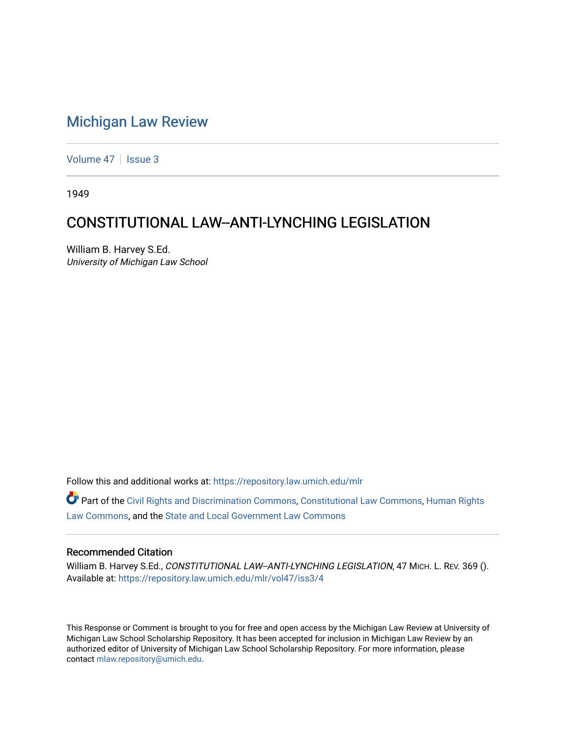# [Michigan Law Review](https://repository.law.umich.edu/mlr)

[Volume 47](https://repository.law.umich.edu/mlr/vol47) | [Issue 3](https://repository.law.umich.edu/mlr/vol47/iss3)

1949

# CONSTITUTIONAL LAW--ANTI-LYNCHING LEGISLATION

William B. Harvey S.Ed. University of Michigan Law School

Follow this and additional works at: [https://repository.law.umich.edu/mlr](https://repository.law.umich.edu/mlr?utm_source=repository.law.umich.edu%2Fmlr%2Fvol47%2Fiss3%2F4&utm_medium=PDF&utm_campaign=PDFCoverPages) 

Part of the [Civil Rights and Discrimination Commons,](http://network.bepress.com/hgg/discipline/585?utm_source=repository.law.umich.edu%2Fmlr%2Fvol47%2Fiss3%2F4&utm_medium=PDF&utm_campaign=PDFCoverPages) [Constitutional Law Commons,](http://network.bepress.com/hgg/discipline/589?utm_source=repository.law.umich.edu%2Fmlr%2Fvol47%2Fiss3%2F4&utm_medium=PDF&utm_campaign=PDFCoverPages) [Human Rights](http://network.bepress.com/hgg/discipline/847?utm_source=repository.law.umich.edu%2Fmlr%2Fvol47%2Fiss3%2F4&utm_medium=PDF&utm_campaign=PDFCoverPages) [Law Commons,](http://network.bepress.com/hgg/discipline/847?utm_source=repository.law.umich.edu%2Fmlr%2Fvol47%2Fiss3%2F4&utm_medium=PDF&utm_campaign=PDFCoverPages) and the [State and Local Government Law Commons](http://network.bepress.com/hgg/discipline/879?utm_source=repository.law.umich.edu%2Fmlr%2Fvol47%2Fiss3%2F4&utm_medium=PDF&utm_campaign=PDFCoverPages) 

## Recommended Citation

William B. Harvey S.Ed., CONSTITUTIONAL LAW--ANTI-LYNCHING LEGISLATION, 47 MICH. L. REV. 369 (). Available at: [https://repository.law.umich.edu/mlr/vol47/iss3/4](https://repository.law.umich.edu/mlr/vol47/iss3/4?utm_source=repository.law.umich.edu%2Fmlr%2Fvol47%2Fiss3%2F4&utm_medium=PDF&utm_campaign=PDFCoverPages)

This Response or Comment is brought to you for free and open access by the Michigan Law Review at University of Michigan Law School Scholarship Repository. It has been accepted for inclusion in Michigan Law Review by an authorized editor of University of Michigan Law School Scholarship Repository. For more information, please contact [mlaw.repository@umich.edu](mailto:mlaw.repository@umich.edu).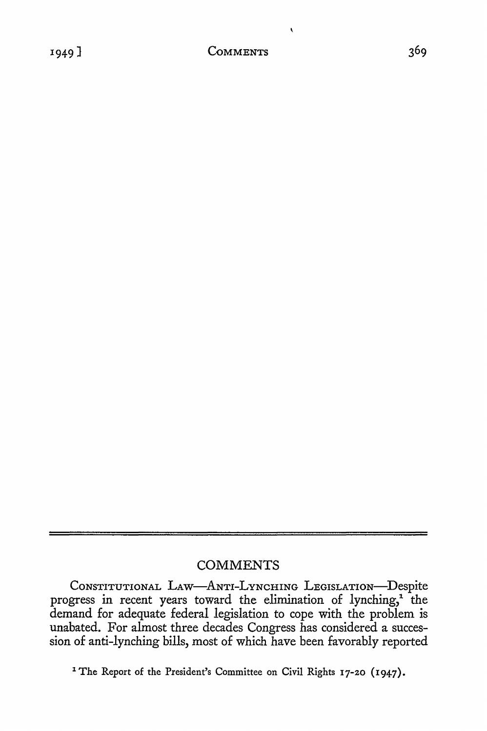$\overline{\mathbf{r}}$ 

## **COMMENTS**

CoNSTITUTIONAL LAW-ANTI-LYNCHING LEGISLATION-Despite progress in recent years toward the elimination of lynching,<sup>1</sup> the demand for adequate federal legislation to cope with the problem is unabated. For almost three decades Congress has considered a succession of anti-lynching bills, most of which have been favorably reported

<sup>1</sup> The Report of the President's Committee on Civil Rights 17-20 (1947).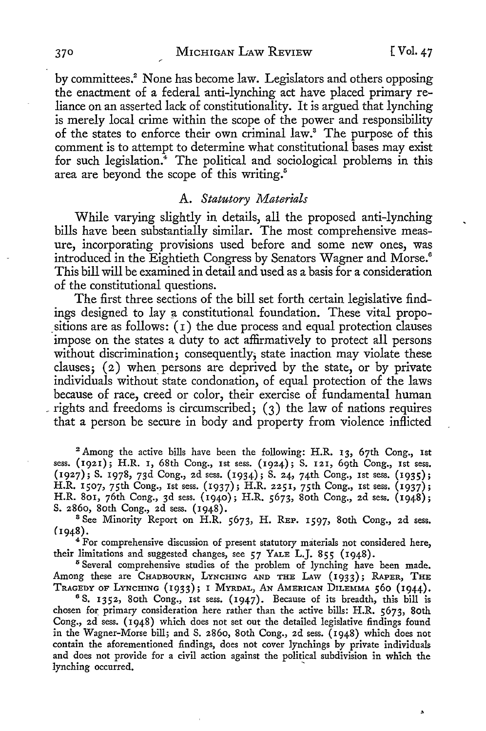by committees.<sup>2</sup> None has become law. Legislators and others opposing the enactment of a federal anti-lynching act have placed primary reliance on an asserted lack of constitutionality. It is argued that lynching is merely local crime within the scope of the power and responsibility of the states to enforce their own criminal law.8 The purpose of this comment is to attempt to determine what constitutional bases may exist for such legislation.<sup>4</sup> The political and sociological problems in this area are beyond the scope of this writing.<sup>5</sup>

### A. *Statutory Materials*

While varying slightly in details, all the proposed anti-lynching bills have been substantially similar. The most comprehensive measure, incorporating provisions used before and some new ones, was introduced in the Eightieth Congress by Senators Wagner and Morse.<sup>6</sup> This bill will be examined in detail and used as a basis for a consideration of the constitutional questions.

The first three sections of the bill set forth certain legislative findings designed to lay a constitutional foundation. These vital propositions are as follows:  $(1)$  the due process and equal protection clauses impose on the states a duty to act affirmatively to protect all persons without discrimination; consequently, state inaction may violate these clauses;  $(2)$  when persons are deprived by the state, or by private individuals without state condonation, of equal protection of the laws because of race, creed or color, their exercise of fundamental human rights and freedoms is circumscribed;  $(3)$  the law of nations requires that a person be secure in body and property from violence inflicted

<sup>2</sup> Among the active bills have been the following: H.R. 13, 67th Cong., 1st sess. **(1921);** H.R. 1, 68th Cong., 1st sess. (1924); S. 121, 69th Cong., 1st sess. (1927); S. 1978, 73d Cong., 2d sess. (1934); S. 24, 74th Cong., 1st sess. (1935); H.R. 1507, 75th Cong., Ist sess. (1937); H.R. 2251, 75th Cong., 1st sess. (1937); H.R. 801, 76th Cong., 3d sess. (1940); H.R. 5673, 80th Cong., 2d sess. (1948); S. 2860, 80th Cong., 2d sess. (1948).

<sup>8</sup> See Minority Report on H.R. 5673, H. REP. 1597, 80th Cong., 2d sess.  $(1948)$ .<br><sup>4</sup>For comprehensive discussion of present statutory materials not considered here,

their limitations and suggested changes, see 57 YALE L.J. 855 (1948).

<sup>5</sup> Several comprehensive studies of the problem of lynching have been made. Among these are CHADBOURN, LYNCHING AND THE LAW (1933); RAPER, THE TRAGEDY OF LYNCHING (1933); I MYRDAL, AN AMERICAN DILEMMA 560 (1944). <sup>6</sup>S. 1352, 80th Cong., 1st sess. (1947). Because of its breadth, this bill is

chosen for primary consideration here rather than the active bills: H.R. 5673, 80th Cong., 2d sess. ( I 948) which does not set out the detailed legislative findings found in the Wagner-Morse bill; and S. 2860, 80th Cong., 2d sess. (1948) which does not contain the aforementioned findings, does not cover lynchings by private individuals and does not provide for a civil action against the political subdivision in which the lynching occurred.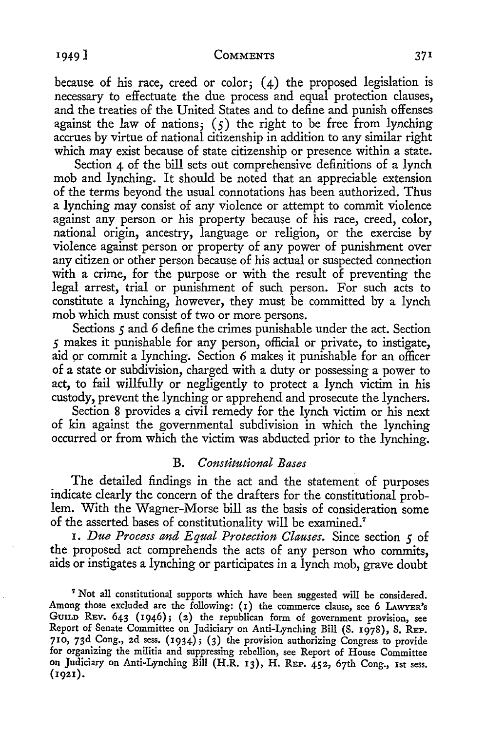because of his race, creed or color;  $(4)$  the proposed legislation is necessary to effectuate the due process and equal protection clauses, and the treaties of the United States and to define and punish offenses against the law of nations;  $(5)$  the right to be free from lynching accrues by virtue of national citizenship in addition to any similar right which may exist because of state citizenship or presence within a state.

Section 4 of the bill sets out comprehensive definitions of a lynch mob and lynching. It should be noted that an appreciable extension of the terms beyond the usual connotations has been authorized. Thus a lynching may consist of any violence or attempt to commit violence against any person or his property because of his race, creed, color, national origin, ancestry, language or religion, or the exercise by violence against person or property of any power of punishment over any citizen or other person because of his actual or suspected connection with a crime, for the purpose or with the result of preventing the legal arrest, trial or punishment of such person. For such acts to constitute a lynching, however, they must be committed by a lynch mob which must consist of two or more persons.

Sections *5* and 6 define the crimes punishable under the act. Section *5* makes it punishable for any person, official or private, to instigate, aid or commit a lynching. Section 6 makes it punishable for an officer of a state or subdivision, charged with a duty or possessing a power to act, to fail willfully or negligently to protect a lynch victim in his custody, prevent the lynching or apprehend and prosecute the lynchers.

Section 8 provides a civil remedy for the lynch victim or his next of kin against the governmental subdivision in which the lynching occurred or from which the victim was abducted prior to the lynching.

## B. *Constitutional Bases*

The detailed findings in the act and the statement of purposes indicate clearly the concern of the drafters for the constitutional problem. With the Wagner-Morse bill as the basis of consideration some of the asserted bases of constitutionality will be examined.<sup>7</sup>

I. *Due Process and Equal Protection Clauses.* Since section *5* of the proposed act comprehends the acts of any person who commits, aids or instigates a lynching or participates in a lynch mob, grave doubt

<sup>7</sup>Not all constitutional supports which have been suggested will be considered. Among those excluded are the following: (I) the commerce clause, see 6 LAWYER'S GUILD REV. 643 (1946); (2) the republican form of government provision, see Report of Senate Committee on Judiciary on Anti-Lynching Bill (S. 1978), S. REP. **710,** 73d Cong., 2d sess. (1934); (3) the provision authorizing Congress to provide for organizing the militia and suppressing rebellion, see Report of House Committee on Judiciary on Anti-Lynching Bill (H.R. 13), H. REP. 452, 67th Cong., 1st sess. **(1921).**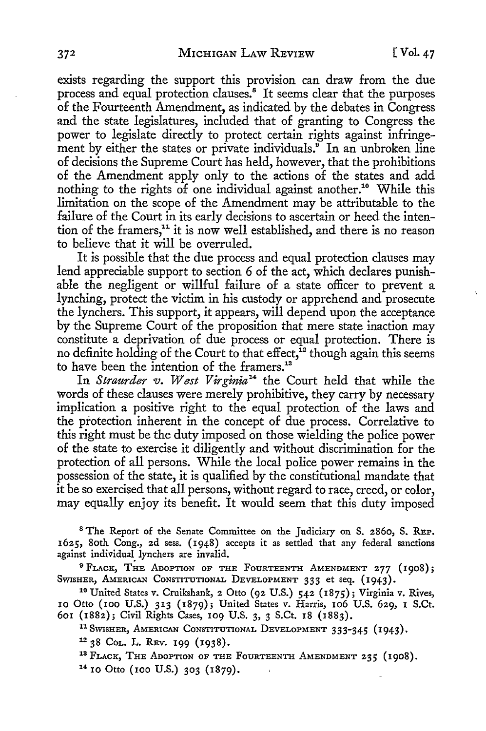exists regarding the support this provision can draw from the due process and equal protection clauses.<sup>8</sup> It seems clear that the purposes of the Fourteenth Amendment, as indicated by the debates in Congress and the state legislatures, included that of granting to Congress the power to legislate directly to protect certain rights against infringement by either the states or private individuals.<sup>9</sup> In an unbroken line of decisions the Supreme Court has held, however, that the prohibitions of the Amendment apply only to the actions of the states and add nothing to the rights of one individual against another.<sup>10</sup> While this limitation on the scope of the Amendment may be attributable to the failure of the Court in its early decisions to ascertain or heed the intention of the framers,<sup>11</sup> it is now well established, and there is no reason to believe that it will be overruled.

It is possible that the due process and equal protection clauses may lend appreciable support to section 6 of the act, which declares punishable the negligent or willful failure of a state officer to prevent a lynching, protect the victim in his custody or apprehend and prosecute the lynchers. This support, it appears, will depend upon the acceptance by the Supreme Court of the proposition that mere state inaction may constitute a deprivation of due process or equal protection. There is no definite holding of the Court to that effect,  $\hat{i}^2$  though again this seems to have been the intention of the framers.<sup>13</sup>

In *Straurder v. West Virginia14* the Court held that while the words of these clauses were merely prohibitive, they carry by necessary implication a positive right to the equal protection of the laws and the protection inherent in the concept of due process. Correlative to this right must be the duty imposed on those wielding the police power of the state to exercise it diligently and without discrimination for the protection of all persons. While the local police power remains in the possession of the state, it is qualified by the constitutional mandate that it be so exercised that all persons, without regard to race, creed, or color, may equally enjoy its benefit. It would seem that this duty imposed

<sup>8</sup>The Report of the Senate Committee on the Judiciary on S. 2860, S. REP. 1625, 80th Cong., 2d sess. (1948) accepts it as settled that any federal sanctions against individual lynchers are invalid.

<sup>9</sup> FLACK, THE ADOPTION OF THE FOURTEENTH AMENDMENT 277 (1908);<br>SWISHER, AMERICAN CONSTITUTIONAL DEVELOPMENT 333 et seq. (1943).

<sup>10</sup> United States v. Cruikshank, 2 Otto (92 U.S.) 542 (1875); Virginia v. Rives, 10 Otto (100 U.S.) 313 (1879); United States v. Harris, 106 U.S. 629, 1 S.Ct. 601 (1882); Civil Rights Cases, 109 U.S. 3, 3 S.Ct. 18 (1883).

<sup>11</sup> SWISHER, AMERICAN CONSTITUTIONAL DEVELOPMENT 333-345 (1943).

<sup>12</sup> 38 Col. L. Rev. 199 (1938).<br><sup>13</sup> Flack, The Adoption of the Fourteenth Amendment 235 (1908).<br><sup>14</sup> 10 Otto (100 U.S.) 303 (1879).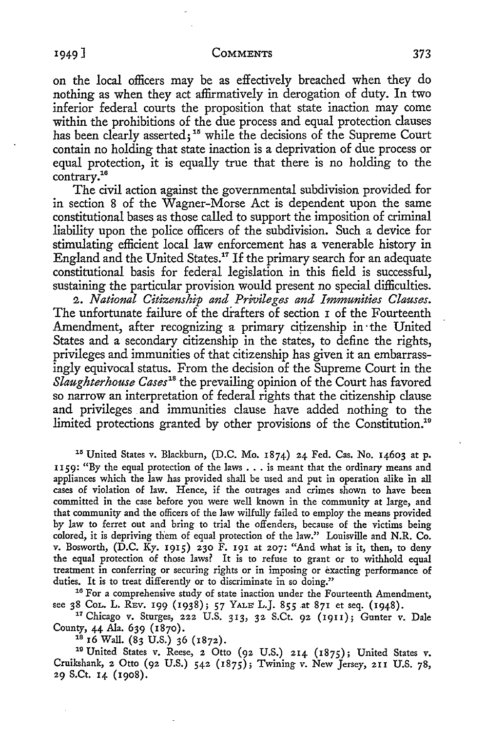### <sup>1</sup> 949] **COMMENTS** 373

on the local officers may be as effectively breached when they do nothing as when they act affirmatively in derogation of duty. In two inferior federal courts the proposition that state inaction may come within the prohibitions of the due process and equal protection clauses has been clearly asserted;<sup>15</sup> while the decisions of the Supreme Court contain no holding that state inaction is a deprivation of due process or equal protection, it is equally true that there is no holding to the contrary.16

The civil action against the governmental subdivision provided for in section 8 of the Wagner-Morse Act is dependent upon the same constitutional bases as those called to support the imposition of criminal liability upon the police officers of the subdivision. Such a device for stimulating efficient local law enforcement has a venerable history in England and the United States.<sup>17</sup> If the primary search for an adequate constitutional basis for federal legislation in this field is successful, sustaining the particular provision would present no special difficulties.

2. *National Citizenship and Privileges and Immunities Clauses.*  The unfortunate failure of the drafters of section I of the Fourteenth Amendment, after recognizing a primary citizenship in· the United States and a secondary citizenship in the states, to define the rights, privileges and immunities of that citizenship has given it an embarrassingly equivocal status. From the decision of the Supreme Court in the *Slaughterhouse Cases18* the prevailing opinion of the Court has favored so narrow an interpretation of federal rights that the citizenship clause and privileges and immunities clause have added nothing to the limited protections granted by other provisions of the Constitution.<sup>19</sup>

<sup>15</sup> United States v. Blackburn, (D.C. Mo. 1874) 24 Fed. Cas. No. 14603 at p. 1159: "By the equal protection of the laws  $\dots$  is meant that the ordinary means and appliances which the law has provided shall be used and put in operation alike in all cases of violation of law. Hence, if the outrages and crimes shown to have been committed in the case before you were well known in the community at large, and that community and the officers of the law wilfully failed to employ the means provided by law to ferret out and bring to trial the offenders, because of the victims being colored, it is depriving them of equal protection of the law." Louisville and **N.R.** Co. v. Bosworth, (D.C. Ky. 1915) 230 F. 191 at 207: "And what is it, then, to deny the equal protection of those laws? It is to refuse to grant or to withhold equal treatment in conferring or securing rights or in imposing or exacting performance of duties. It is to treat differently or to discriminate in so doing."<br><sup>16</sup> For a comprehensive study of state inaction under the Fourteenth Amendment,

see 38 CoL. L. REv. 199 (1938); 57 YALE L.J. 855 at 871 et seq. (1948).<br><sup>17</sup> Chicago v. Sturges, 222 U.S. 313, 32 S.Ct. 92 (1911); Gunter v. Dale<br>County, 44 Ala. 639 (1870).

<sup>18</sup> 16 Wall. (83 U.S.) 36 (1872).<br><sup>19</sup> United States v. Reese, 2 Otto (92 U.S.) 214 (1875); United States v. Cruikshank, 2 Otto (92 U.S.) 542 (1875); Twining v. New Jersey, 211 U.S. 78, 29 S.Ct. 14 (1908).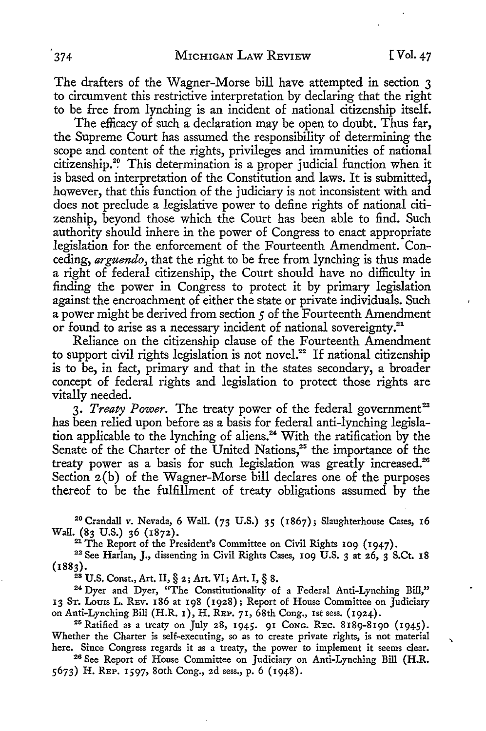$\overline{ }$ 

The drafters of the Wagner-Morse bill have attempted in section 3 to circumvent this restrictive interpretation by declaring that the right to be free from lynching is an incident of national citizenship itself.

The efficacy of such a declaration may be open to doubt. Thus far, the Supreme Court has assumed the responsibility of determining the scope and content of the rights, privileges and immunities of national citizenship.<sup>20</sup> This determination is a proper judicial function when it is based on interpretation of the Constitution and laws. It is submitted, however, that this function of the judiciary is not inconsistent with and does not preclude a legislative power to define rights of national citizenship, beyond those which the Court has been able to find. Such authority should inhere in the power of Congress to enact appropriate legislation for. the enforcement of the Fourteenth Amendment. Conceding, *arguendo,* that the right to be free from lynching is thus made a right of federal citizenship, the Court should have no difficulty in finding the power in Congress to protect it by primary legislation against the encroachment of either the state or private individuals. Such a power might be derived from section *5* of the Fourteenth Amendment or found to arise as a necessary incident of national sovereignty.<sup>21</sup>

Reliance on the citizenship clause of the Fourteenth Amendment to support civil rights legislation is not novel.<sup>22</sup> If national citizenship is to be, in fact, primary and that in the states secondary, a broader concept of federal rights and legislation to protect those rights are vitally needed.

3. *Treaty Power*. The treaty power of the federal government<sup>23</sup> has been relied upon before as a basis for federal anti-lynching legislation applicable to the lynching of aliens.<sup>24</sup> With the ratification by the Senate of the Charter of the United Nations,<sup>25</sup> the importance of the treaty power as a basis for such legislation was greatly increased.<sup>26</sup> Section 2(b) of the Wagner-Morse bill declares one of the purposes thereof to be the fulfillment of treaty obligations assumed by the

<sup>2</sup>°Crandall v. Nevada, 6 Wall. (73 U.S.) 35 (1867); Slaughterhouse Cases, **16** 

<sup>21</sup> The Report of the President's Committee on Civil Rights 109 (1947).<br><sup>22</sup> See Harlan, J., dissenting in Civil Rights Cases, 109 U.S. 3 at 26, 3 S.Ct. 18<br>(1883).

<sup>28</sup> U.S. Const., Art. II, § 2; Art. VI; Art. I, § 8. 24 Dyer and Dyer, "The Constitutionality of a Federal Anti-Lynching Bill," 13 ST. Loms L. REV. 186 at 198 (1928); Report of House Committee on Judiciary on Anti-Lynching Bill (H.R. 1), H. REP. 71, 68th Cong., 1st sess. (1924).<br><sup>25</sup> Ratified as a treaty on July 28, 1945. 91 Cong. REC. 8189-8190 (1945).

Whether the Charter is self-executing, so as to create private rights, is not material

here. Since Congress regards it as a treaty, the power to implement it seems clear.<br><sup>26</sup> See Report of House Committee on Judiciary on Anti-Lynching Bill (H.R. 5673) H. REP. 1597, 80th Cong., 2d sess., p. 6 (1948).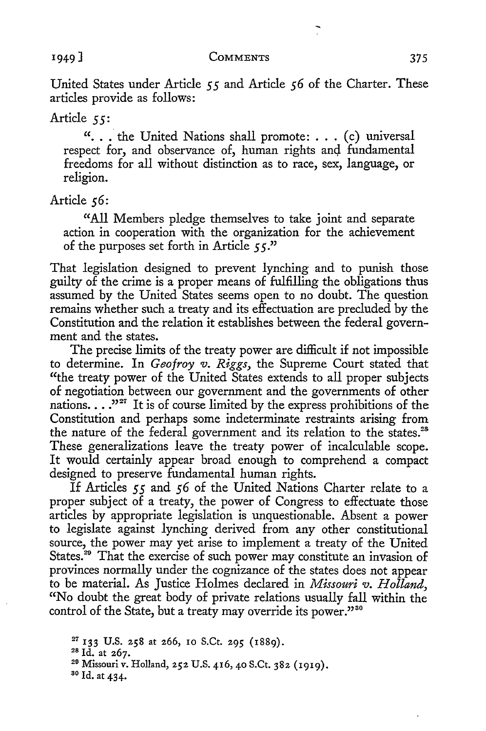United States under Article *55* and Article *56* of the Charter. These articles provide as follows:

Article 55:

"... the United Nations shall promote: ... (c) universal respect for, and observance of, human rights and fundamental freedoms for all without distinction as to race, sex, language, or religion.

Article 56:

"All Members pledge themselves to take joint and separate action in cooperation with the organization for the achievement of the purposes set forth in Article *5 5* ."

That legislation designed to prevent lynching and to punish those guilty of the crime is a proper means of fulfilling the obligations thus assumed by the United States seems open to no doubt. The question remains whether such a treaty and its effectuation are precluded by the Constitution and the relation it establishes between the federal government and the states.

The precise limits of the treaty power are difficult if not impossible to determine. In *Geofroy v. Riggs,* the Supreme Court stated that "the treaty power of the United States extends to all proper subjects of negotiation between our government and the governments of other nations. . . .<sup>"27</sup> It is of course limited by the express prohibitions of the Constitution and perhaps some indeterminate restraints arising from the nature of the federal government and its relation to the states.<sup>28</sup> These generalizations leave the treaty power of incalculable scope. It would certainly appear broad enough to comprehend a compact designed to preserve fundamental human rights.

If Articles *55* and *56* of the United Nations Charter relate to a proper subject of a treaty, the power of Congress to effectuate those articles by appropriate legislation is unquestionable. Absent a power to legislate against lynching derived from any other constitutional source, the power may yet arise to implement a treaty of the United States.<sup>29</sup> That the exercise of such power may constitute an invasion of provinces normally under the cognizance of the states does not appear to be material. As Justice Holmes declared in *Missouri v. Holland,*  "No doubt the great body of private relations usually fall within the control of the State, but a treaty may override its power."<sup>30</sup>

<sup>&</sup>lt;sup>27</sup> 133 U.S. 258 at 266, 10 S.Ct. 295 (1889).<br><sup>28</sup> Id. at 267.<br><sup>29</sup> Missouri v. Holland, 252 U.S. 416, 40 S.Ct. 382 (1919).

so Id. at 434.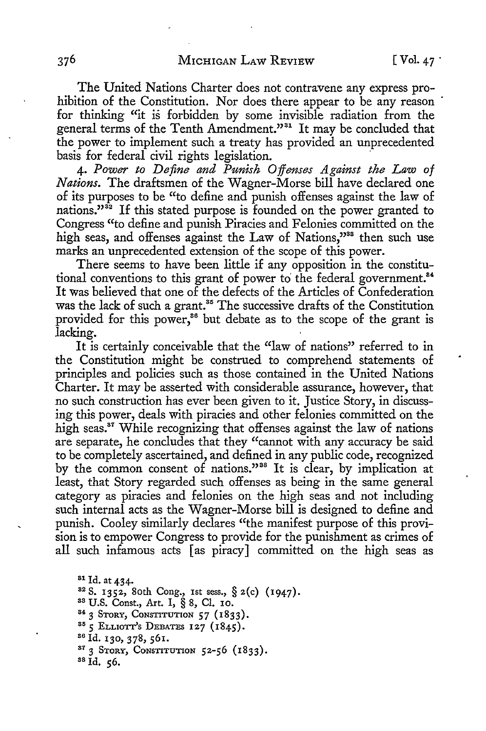The United Nations Charter does not contravene any express prohibition of the Constitution. Nor does there appear to be any reason for thinking "it is forbidden by some invisible radiation from the general terms of the Tenth Amendment."<sup>31</sup> It may be concluded that the power to implement such a treaty has provided an unprecedented basis for federal civil rights legislation.

4. *Power to Define and Punish Offenses Against the Law of Nations.* The draftsmen of the Wagner-Morse bill have declared one of its purposes to be "to define and punish offenses against the law of nations."<sup>32</sup> If this stated purpose is founded on the power granted to Congress "to define and punish Piracies and Felonies committed on the high seas, and offenses against the Law of Nations,"<sup>33</sup> then such use marks an unprecedented extension of the scope of this power.

There seems to have been little if any opposition in the constitutional conventions to this grant of power to the federal government.<sup>84</sup> It was believed that one of the defects of the Articles of Confederation was the lack of such a grant.<sup>35</sup> The successive drafts of the Constitution provided for this power,<sup>36</sup> but debate as to the scope of the grant is lacking.

It is certainly conceivable that the "law of nations" referred to in the Constitution might be construed to comprehend statements of principles and policies such as those contained in the United Nations Charter. It may be asserted with considerable assurance, however, that no such construction has ever been given to it. Justice Story, in discussing this power, deals with piracies and other felonies committed on the high seas.<sup>87</sup> While recognizing that offenses against the law of nations are separate, he concludes that they "cannot with any accuracy be said to be completely ascertained, and defined in any public code, recognized by the common consent of nations."<sup>38</sup> It is clear, by implication at least, that Story regarded such offenses as being in the same general category as piracies and felonies on the high seas and not including such internal acts as the Wagner-Morse bill is designed to define and punish. Cooley similarly declares "the manifest purpose of this provision is to empower Congress to provide for the punishment as crimes of all such infamous acts [ as piracy] committed on the high seas as

<sup>31</sup> Id. at 434.<br><sup>32</sup> S. 1352, 80th Cong., 1st sess., § 2(c) (1947).<br><sup>33</sup> U.S. Const., Art. I, § 8, Cl. 10.<br><sup>34</sup> 3 STORY, CONSTITUTION 57 (1833).<br><sup>35</sup> 5 ELLIOTT's DEBATES 127 (1845).<br><sup>36</sup> Id. 130, 378, 561.<br><sup>37</sup> 3 STORY, C ss Id. 56.